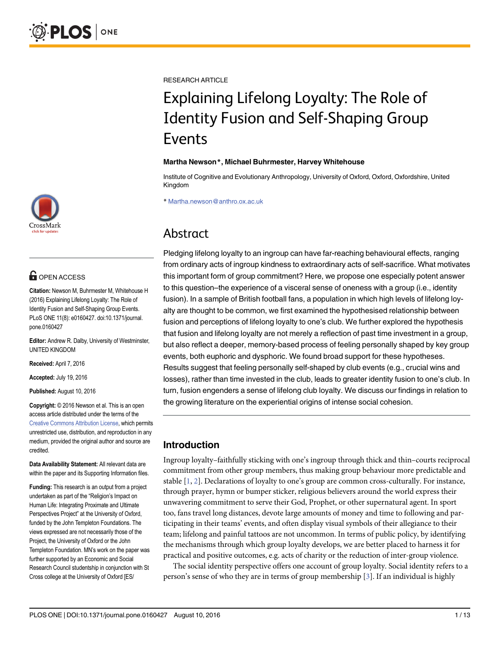

## **G** OPEN ACCESS

Citation: Newson M, Buhrmester M, Whitehouse H (2016) Explaining Lifelong Loyalty: The Role of Identity Fusion and Self-Shaping Group Events. PLoS ONE 11(8): e0160427. doi:10.1371/journal. pone.0160427

Editor: Andrew R. Dalby, University of Westminster, UNITED KINGDOM

Received: April 7, 2016

Accepted: July 19, 2016

Published: August 10, 2016

Copyright: © 2016 Newson et al. This is an open access article distributed under the terms of the [Creative Commons Attribution License,](http://creativecommons.org/licenses/by/4.0/) which permits unrestricted use, distribution, and reproduction in any medium, provided the original author and source are credited.

Data Availability Statement: All relevant data are within the paper and its Supporting Information files.

Funding: This research is an output from a project undertaken as part of the "Religion's Impact on Human Life: Integrating Proximate and Ultimate Perspectives Project" at the University of Oxford, funded by the John Templeton Foundations. The views expressed are not necessarily those of the Project, the University of Oxford or the John Templeton Foundation. MN's work on the paper was further supported by an Economic and Social Research Council studentship in conjunction with St Cross college at the University of Oxford [ES/

<span id="page-0-0"></span>RESEARCH ARTICLE

# Explaining Lifelong Loyalty: The Role of Identity Fusion and Self-Shaping Group Events

#### Martha Newson\*, Michael Buhrmester, Harvey Whitehouse

Institute of Cognitive and Evolutionary Anthropology, University of Oxford, Oxford, Oxfordshire, United Kingdom

\* Martha.newson@anthro.ox.ac.uk

## Abstract

Pledging lifelong loyalty to an ingroup can have far-reaching behavioural effects, ranging from ordinary acts of ingroup kindness to extraordinary acts of self-sacrifice. What motivates this important form of group commitment? Here, we propose one especially potent answer to this question–the experience of a visceral sense of oneness with a group (i.e., identity fusion). In a sample of British football fans, a population in which high levels of lifelong loyalty are thought to be common, we first examined the hypothesised relationship between fusion and perceptions of lifelong loyalty to one's club. We further explored the hypothesis that fusion and lifelong loyalty are not merely a reflection of past time investment in a group, but also reflect a deeper, memory-based process of feeling personally shaped by key group events, both euphoric and dysphoric. We found broad support for these hypotheses. Results suggest that feeling personally self-shaped by club events (e.g., crucial wins and losses), rather than time invested in the club, leads to greater identity fusion to one's club. In turn, fusion engenders a sense of lifelong club loyalty. We discuss our findings in relation to the growing literature on the experiential origins of intense social cohesion.

## Introduction

Ingroup loyalty–faithfully sticking with one's ingroup through thick and thin–courts reciprocal commitment from other group members, thus making group behaviour more predictable and stable  $[1, 2]$  $[1, 2]$  $[1, 2]$  $[1, 2]$ . Declarations of loyalty to one's group are common cross-culturally. For instance, through prayer, hymn or bumper sticker, religious believers around the world express their unwavering commitment to serve their God, Prophet, or other supernatural agent. In sport too, fans travel long distances, devote large amounts of money and time to following and participating in their teams' events, and often display visual symbols of their allegiance to their team; lifelong and painful tattoos are not uncommon. In terms of public policy, by identifying the mechanisms through which group loyalty develops, we are better placed to harness it for practical and positive outcomes, e.g. acts of charity or the reduction of inter-group violence.

The social identity perspective offers one account of group loyalty. Social identity refers to a person's sense of who they are in terms of group membership [\[3](#page-10-0)]. If an individual is highly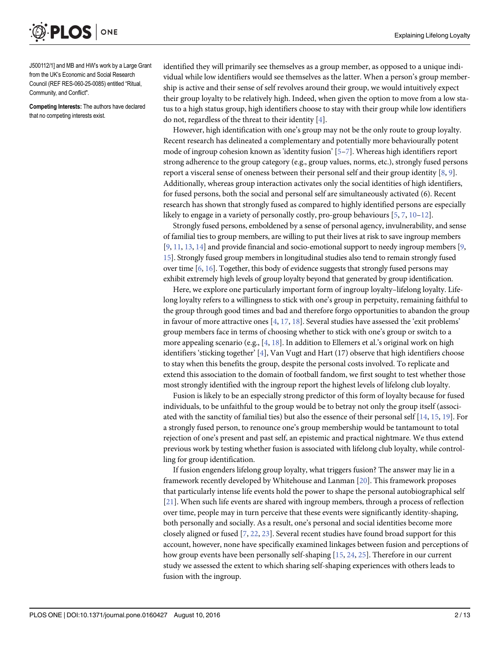<span id="page-1-0"></span>**PLOS I** ONE

J500112/1] and MB and HW's work by a Large Grant from the UK's Economic and Social Research Council (REF RES-060-25-0085) entitled "Ritual, Community, and Conflict".

Competing Interests: The authors have declared that no competing interests exist.

identified they will primarily see themselves as a group member, as opposed to a unique individual while low identifiers would see themselves as the latter. When a person's group membership is active and their sense of self revolves around their group, we would intuitively expect their group loyalty to be relatively high. Indeed, when given the option to move from a low status to a high status group, high identifiers choose to stay with their group while low identifiers do not, regardless of the threat to their identity [\[4\]](#page-10-0).

However, high identification with one's group may not be the only route to group loyalty. Recent research has delineated a complementary and potentially more behaviourally potent mode of ingroup cohesion known as 'identity fusion'  $[5-7]$  $[5-7]$  $[5-7]$  $[5-7]$ . Whereas high identifiers report strong adherence to the group category (e.g., group values, norms, etc.), strongly fused persons report a visceral sense of oneness between their personal self and their group identity [\[8](#page-10-0), [9](#page-10-0)]. Additionally, whereas group interaction activates only the social identities of high identifiers, for fused persons, both the social and personal self are simultaneously activated (6). Recent research has shown that strongly fused as compared to highly identified persons are especially likely to engage in a variety of personally costly, pro-group behaviours  $[5, 7, 10-12]$  $[5, 7, 10-12]$  $[5, 7, 10-12]$  $[5, 7, 10-12]$  $[5, 7, 10-12]$  $[5, 7, 10-12]$  $[5, 7, 10-12]$  $[5, 7, 10-12]$ .

Strongly fused persons, emboldened by a sense of personal agency, invulnerability, and sense of familial ties to group members, are willing to put their lives at risk to save ingroup members  $[9, 11, 13, 14]$  $[9, 11, 13, 14]$  $[9, 11, 13, 14]$  $[9, 11, 13, 14]$  $[9, 11, 13, 14]$  $[9, 11, 13, 14]$  $[9, 11, 13, 14]$  $[9, 11, 13, 14]$  and provide financial and socio-emotional support to needy ingroup members  $[9, 11, 13, 14]$  $[9, 11, 13, 14]$  $[9, 11, 13, 14]$ [15](#page-10-0)]. Strongly fused group members in longitudinal studies also tend to remain strongly fused over time  $[6, 16]$  $[6, 16]$  $[6, 16]$ . Together, this body of evidence suggests that strongly fused persons may exhibit extremely high levels of group loyalty beyond that generated by group identification.

Here, we explore one particularly important form of ingroup loyalty–lifelong loyalty. Lifelong loyalty refers to a willingness to stick with one's group in perpetuity, remaining faithful to the group through good times and bad and therefore forgo opportunities to abandon the group in favour of more attractive ones  $[4, 17, 18]$  $[4, 17, 18]$  $[4, 17, 18]$  $[4, 17, 18]$  $[4, 17, 18]$  $[4, 17, 18]$  $[4, 17, 18]$ . Several studies have assessed the 'exit problems' group members face in terms of choosing whether to stick with one's group or switch to a more appealing scenario (e.g., [\[4](#page-10-0), [18](#page-11-0)]. In addition to Ellemers et al.'s original work on high identifiers 'sticking together' [\[4](#page-10-0)], Van Vugt and Hart (17) observe that high identifiers choose to stay when this benefits the group, despite the personal costs involved. To replicate and extend this association to the domain of football fandom, we first sought to test whether those most strongly identified with the ingroup report the highest levels of lifelong club loyalty.

Fusion is likely to be an especially strong predictor of this form of loyalty because for fused individuals, to be unfaithful to the group would be to betray not only the group itself (associated with the sanctity of familial ties) but also the essence of their personal self [[14](#page-10-0), [15](#page-10-0), [19](#page-11-0)]. For a strongly fused person, to renounce one's group membership would be tantamount to total rejection of one's present and past self, an epistemic and practical nightmare. We thus extend previous work by testing whether fusion is associated with lifelong club loyalty, while controlling for group identification.

If fusion engenders lifelong group loyalty, what triggers fusion? The answer may lie in a framework recently developed by Whitehouse and Lanman [\[20\]](#page-11-0). This framework proposes that particularly intense life events hold the power to shape the personal autobiographical self [\[21](#page-11-0)]. When such life events are shared with ingroup members, through a process of reflection over time, people may in turn perceive that these events were significantly identity-shaping, both personally and socially. As a result, one's personal and social identities become more closely aligned or fused  $[7, 22, 23]$  $[7, 22, 23]$  $[7, 22, 23]$  $[7, 22, 23]$  $[7, 22, 23]$  $[7, 22, 23]$  $[7, 22, 23]$ . Several recent studies have found broad support for this account, however, none have specifically examined linkages between fusion and perceptions of how group events have been personally self-shaping [[15](#page-10-0), [24](#page-11-0), [25](#page-11-0)]. Therefore in our current study we assessed the extent to which sharing self-shaping experiences with others leads to fusion with the ingroup.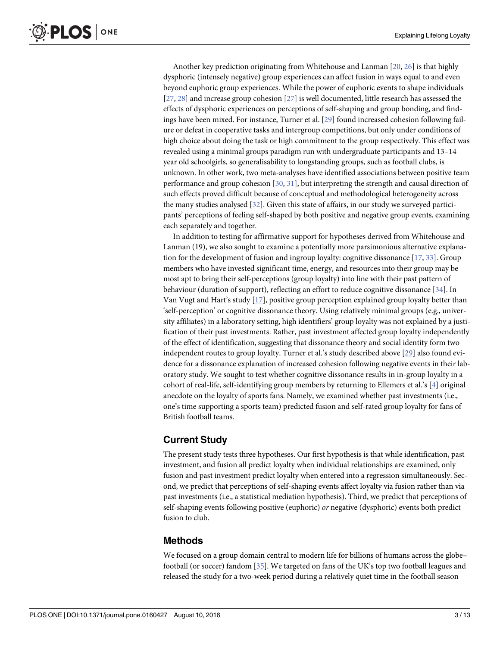<span id="page-2-0"></span>Another key prediction originating from Whitehouse and Lanman [\[20,](#page-11-0) [26\]](#page-11-0) is that highly dysphoric (intensely negative) group experiences can affect fusion in ways equal to and even beyond euphoric group experiences. While the power of euphoric events to shape individuals [\[27](#page-11-0), [28\]](#page-11-0) and increase group cohesion [\[27\]](#page-11-0) is well documented, little research has assessed the effects of dysphoric experiences on perceptions of self-shaping and group bonding, and findings have been mixed. For instance, Turner et al. [\[29\]](#page-11-0) found increased cohesion following failure or defeat in cooperative tasks and intergroup competitions, but only under conditions of high choice about doing the task or high commitment to the group respectively. This effect was revealed using a minimal groups paradigm run with undergraduate participants and 13–14 year old schoolgirls, so generalisability to longstanding groups, such as football clubs, is unknown. In other work, two meta-analyses have identified associations between positive team performance and group cohesion  $[30, 31]$  $[30, 31]$  $[30, 31]$ , but interpreting the strength and causal direction of such effects proved difficult because of conceptual and methodological heterogeneity across the many studies analysed [\[32\]](#page-11-0). Given this state of affairs, in our study we surveyed participants' perceptions of feeling self-shaped by both positive and negative group events, examining each separately and together.

In addition to testing for affirmative support for hypotheses derived from Whitehouse and Lanman (19), we also sought to examine a potentially more parsimonious alternative explanation for the development of fusion and ingroup loyalty: cognitive dissonance [[17](#page-11-0), [33](#page-11-0)]. Group members who have invested significant time, energy, and resources into their group may be most apt to bring their self-perceptions (group loyalty) into line with their past pattern of behaviour (duration of support), reflecting an effort to reduce cognitive dissonance [\[34\]](#page-11-0). In Van Vugt and Hart's study [\[17\]](#page-11-0), positive group perception explained group loyalty better than 'self-perception' or cognitive dissonance theory. Using relatively minimal groups (e.g., university affiliates) in a laboratory setting, high identifiers' group loyalty was not explained by a justification of their past investments. Rather, past investment affected group loyalty independently of the effect of identification, suggesting that dissonance theory and social identity form two independent routes to group loyalty. Turner et al.'s study described above [[29\]](#page-11-0) also found evidence for a dissonance explanation of increased cohesion following negative events in their laboratory study. We sought to test whether cognitive dissonance results in in-group loyalty in a cohort of real-life, self-identifying group members by returning to Ellemers et al.'s [[4\]](#page-10-0) original anecdote on the loyalty of sports fans. Namely, we examined whether past investments (i.e., one's time supporting a sports team) predicted fusion and self-rated group loyalty for fans of British football teams.

## Current Study

The present study tests three hypotheses. Our first hypothesis is that while identification, past investment, and fusion all predict loyalty when individual relationships are examined, only fusion and past investment predict loyalty when entered into a regression simultaneously. Second, we predict that perceptions of self-shaping events affect loyalty via fusion rather than via past investments (i.e., a statistical mediation hypothesis). Third, we predict that perceptions of self-shaping events following positive (euphoric) or negative (dysphoric) events both predict fusion to club.

## Methods

We focused on a group domain central to modern life for billions of humans across the globe– football (or soccer) fandom [[35\]](#page-11-0). We targeted on fans of the UK's top two football leagues and released the study for a two-week period during a relatively quiet time in the football season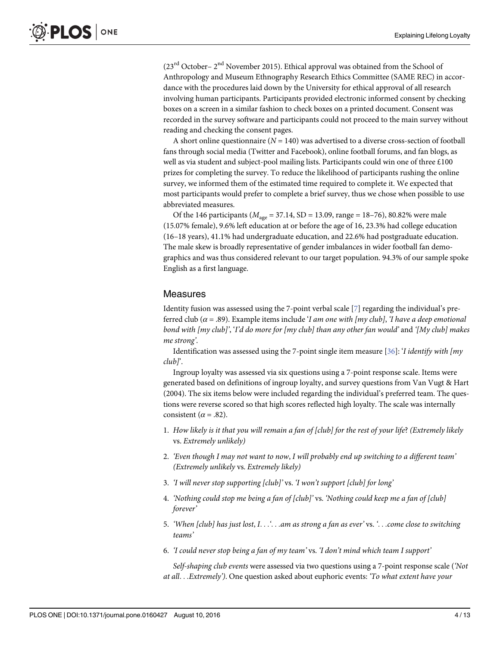<span id="page-3-0"></span> $(23<sup>rd</sup> October – 2<sup>nd</sup> November 2015)$ . Ethical approval was obtained from the School of Anthropology and Museum Ethnography Research Ethics Committee (SAME REC) in accordance with the procedures laid down by the University for ethical approval of all research involving human participants. Participants provided electronic informed consent by checking boxes on a screen in a similar fashion to check boxes on a printed document. Consent was recorded in the survey software and participants could not proceed to the main survey without reading and checking the consent pages.

A short online questionnaire ( $N = 140$ ) was advertised to a diverse cross-section of football fans through social media (Twitter and Facebook), online football forums, and fan blogs, as well as via student and subject-pool mailing lists. Participants could win one of three £100 prizes for completing the survey. To reduce the likelihood of participants rushing the online survey, we informed them of the estimated time required to complete it. We expected that most participants would prefer to complete a brief survey, thus we chose when possible to use abbreviated measures.

Of the 146 participants ( $M_{\text{age}} = 37.14$ , SD = 13.09, range = 18–76), 80.82% were male (15.07% female), 9.6% left education at or before the age of 16, 23.3% had college education (16–18 years), 41.1% had undergraduate education, and 22.6% had postgraduate education. The male skew is broadly representative of gender imbalances in wider football fan demographics and was thus considered relevant to our target population. 94.3% of our sample spoke English as a first language.

## **Measures**

Identity fusion was assessed using the [7](#page-10-0)-point verbal scale [7] regarding the individual's preferred club ( $\alpha$  = .89). Example items include 'I am one with [my club], 'I have a deep emotional bond with [my club]', 'I'd do more for [my club] than any other fan would' and '[My club] makes me strong'.

Identification was assessed using the 7-point single item measure [ $36$ ]: '*I identify with [my* club]'.

Ingroup loyalty was assessed via six questions using a 7-point response scale. Items were generated based on definitions of ingroup loyalty, and survey questions from Van Vugt & Hart (2004). The six items below were included regarding the individual's preferred team. The questions were reverse scored so that high scores reflected high loyalty. The scale was internally consistent ( $\alpha$  = .82).

- 1. How likely is it that you will remain a fan of [club] for the rest of your life? (Extremely likely vs. Extremely unlikely)
- 2. 'Even though I may not want to now, I will probably end up switching to a different team' (Extremely unlikely vs. Extremely likely)
- 3. 'I will never stop supporting [club]' vs. 'I won't support [club] for long'
- 4. 'Nothing could stop me being a fan of [club]' vs. 'Nothing could keep me a fan of [club] forever'
- 5. 'When [club] has just lost, I. . . '. . . am as strong a fan as ever' vs. '. . . come close to switching teams'
- 6. 'I could never stop being a fan of my team' vs. 'I don't mind which team I support'

Self-shaping club events were assessed via two questions using a 7-point response scale ('Not at all...Extremely'). One question asked about euphoric events: 'To what extent have your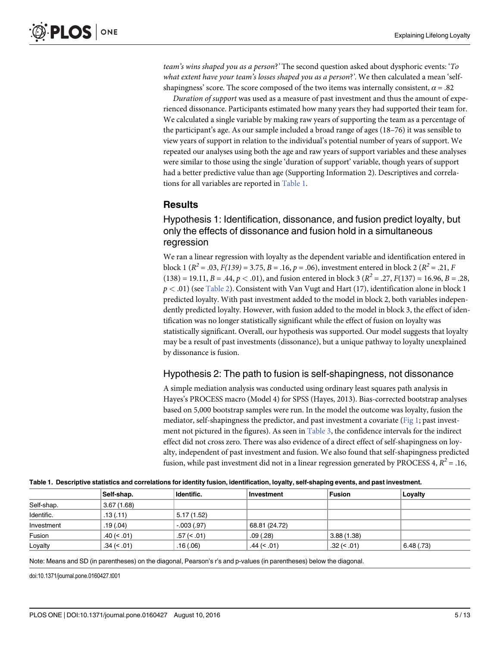<span id="page-4-0"></span>team's wins shaped you as a person?' The second question asked about dysphoric events: 'To what extent have your team's losses shaped you as a person?'. We then calculated a mean 'selfshapingness' score. The score composed of the two items was internally consistent,  $\alpha$  = .82

Duration of support was used as a measure of past investment and thus the amount of experienced dissonance. Participants estimated how many years they had supported their team for. We calculated a single variable by making raw years of supporting the team as a percentage of the participant's age. As our sample included a broad range of ages (18–76) it was sensible to view years of support in relation to the individual's potential number of years of support. We repeated our analyses using both the age and raw years of support variables and these analyses were similar to those using the single 'duration of support' variable, though years of support had a better predictive value than age (Supporting Information 2). Descriptives and correlations for all variables are reported in Table 1.

## Results

Hypothesis 1: Identification, dissonance, and fusion predict loyalty, but only the effects of dissonance and fusion hold in a simultaneous regression

We ran a linear regression with loyalty as the dependent variable and identification entered in block 1 ( $R^2 = .03$ ,  $F(139) = 3.75$ ,  $B = .16$ ,  $p = .06$ ), investment entered in block 2 ( $R^2 = .21$ , F  $(138) = 19.11, B = .44, p < .01$ , and fusion entered in block 3 ( $R^2 = .27, F(137) = 16.96, B = .28$ ,  $p < .01$ ) (see [Table 2](#page-5-0)). Consistent with Van Vugt and Hart (17), identification alone in block 1 predicted loyalty. With past investment added to the model in block 2, both variables independently predicted loyalty. However, with fusion added to the model in block 3, the effect of identification was no longer statistically significant while the effect of fusion on loyalty was statistically significant. Overall, our hypothesis was supported. Our model suggests that loyalty may be a result of past investments (dissonance), but a unique pathway to loyalty unexplained by dissonance is fusion.

## Hypothesis 2: The path to fusion is self-shapingness, not dissonance

A simple mediation analysis was conducted using ordinary least squares path analysis in Hayes's PROCESS macro (Model 4) for SPSS (Hayes, 2013). Bias-corrected bootstrap analyses based on 5,000 bootstrap samples were run. In the model the outcome was loyalty, fusion the mediator, self-shapingness the predictor, and past investment a covariate ([Fig 1](#page-5-0); past investment not pictured in the figures). As seen in [Table 3](#page-6-0), the confidence intervals for the indirect effect did not cross zero. There was also evidence of a direct effect of self-shapingness on loyalty, independent of past investment and fusion. We also found that self-shapingness predicted fusion, while past investment did not in a linear regression generated by PROCESS 4,  $R^2 = .16$ ,

|            | Self-shap.    | Identific.     | Investment     | Fusion         | Loyalty   |
|------------|---------------|----------------|----------------|----------------|-----------|
| Self-shap. | 3.67(1.68)    |                |                |                |           |
| Identific. | .13(.11)      | 5.17(1.52)     |                |                |           |
| Investment | .19(0.04)     | $-0.003(0.97)$ | 68.81 (24.72)  |                |           |
| Fusion     | $.40 \le .01$ | $.57 \le 0.01$ | .09(.28)       | 3.88(1.38)     |           |
| Loyalty    | $.34 \le .01$ | .16(0.06)      | $.44 \le 0.01$ | $.32 \div .01$ | 6.48(.73) |

Table 1. Descriptive statistics and correlations for identity fusion, identification, loyalty, self-shaping events, and past investment.

Note: Means and SD (in parentheses) on the diagonal, Pearson's r's and p-values (in parentheses) below the diagonal.

doi:10.1371/journal.pone.0160427.t001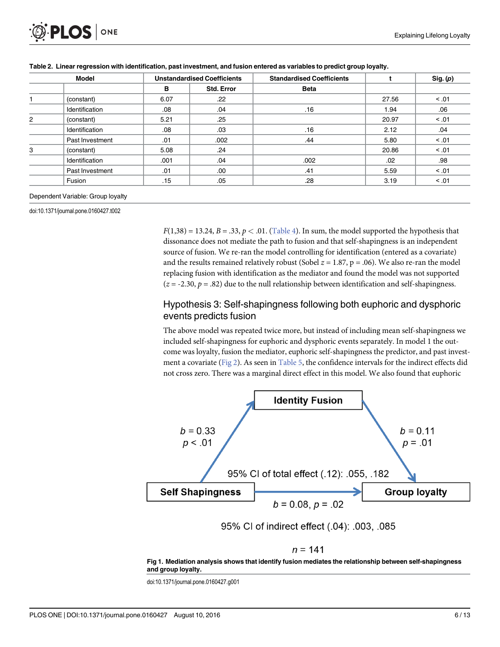| Model |                 | <b>Unstandardised Coefficients</b> |            | <b>Standardised Coefficients</b> |       | Sig. (p) |
|-------|-----------------|------------------------------------|------------|----------------------------------|-------|----------|
|       |                 | в                                  | Std. Error | <b>Beta</b>                      |       |          |
|       | (constant)      | 6.07                               | .22        |                                  | 27.56 | < 0.01   |
|       | Identification  | .08                                | .04        | .16                              | 1.94  | .06      |
| 2     | (constant)      | 5.21                               | .25        |                                  | 20.97 | < 0.01   |
|       | Identification  | .08                                | .03        | .16                              | 2.12  | .04      |
|       | Past Investment | .01                                | .002       | .44                              | 5.80  | < 0.01   |
| 3     | (constant)      | 5.08                               | .24        |                                  | 20.86 | < 0.01   |
|       | Identification  | .001                               | .04        | .002                             | .02   | .98      |
|       | Past Investment | .01                                | .00        | .41                              | 5.59  | < 0.01   |
|       | Fusion          | .15                                | .05        | .28                              | 3.19  | < .01    |

<span id="page-5-0"></span>[Table 2.](#page-4-0) Linear regression with identification, past investment, and fusion entered as variables to predict group loyalty.

#### Dependent Variable: Group loyalty

doi:10.1371/journal.pone.0160427.t002

 $F(1,38) = 13.24, B = .33, p < .01.$  [\(Table 4](#page-6-0)). In sum, the model supported the hypothesis that dissonance does not mediate the path to fusion and that self-shapingness is an independent source of fusion. We re-ran the model controlling for identification (entered as a covariate) and the results remained relatively robust (Sobel  $z = 1.87$ ,  $p = .06$ ). We also re-ran the model replacing fusion with identification as the mediator and found the model was not supported  $(z = -2.30, p = .82)$  due to the null relationship between identification and self-shapingness.

## Hypothesis 3: Self-shapingness following both euphoric and dysphoric events predicts fusion

The above model was repeated twice more, but instead of including mean self-shapingness we included self-shapingness for euphoric and dysphoric events separately. In model 1 the outcome was loyalty, fusion the mediator, euphoric self-shapingness the predictor, and past investment a covariate [\(Fig 2\)](#page-7-0). As seen in [Table 5](#page-7-0), the confidence intervals for the indirect effects did not cross zero. There was a marginal direct effect in this model. We also found that euphoric



95% CI of indirect effect (.04): .003, .085

$$
\eta=141
$$

[Fig 1. M](#page-4-0)ediation analysis shows that identify fusion mediates the relationship between self-shapingness and group loyalty.

doi:10.1371/journal.pone.0160427.g001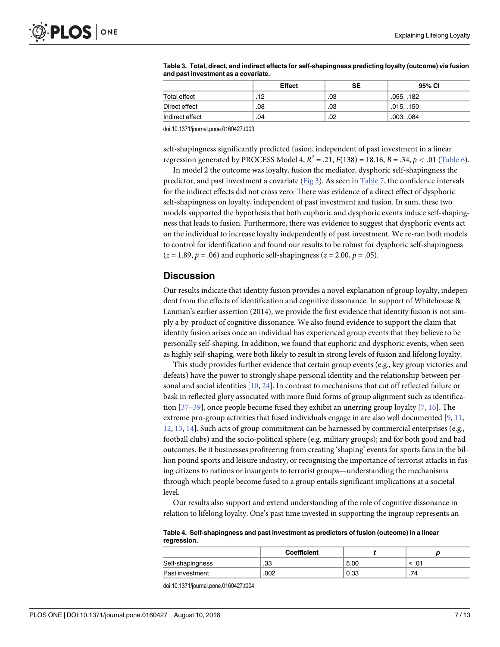|                 | <b>Effect</b> | SE  | 95% CI     |
|-----------------|---------------|-----|------------|
| Total effect    | .12           | .03 | .055, .182 |
| Direct effect   | .08           | .03 | .015, .150 |
| Indirect effect | .04           | .02 | .003, .084 |

<span id="page-6-0"></span>[Table 3.](#page-4-0) Total, direct, and indirect effects for self-shapingness predicting loyalty (outcome) via fusion and past investment as a covariate.

doi:10.1371/journal.pone.0160427.t003

self-shapingness significantly predicted fusion, independent of past investment in a linear regression generated by PROCESS Model 4,  $R^2 = .21$ ,  $F(138) = 18.16$ ,  $B = .34$ ,  $p < .01$  [\(Table 6](#page-8-0)).

In model 2 the outcome was loyalty, fusion the mediator, dysphoric self-shapingness the predictor, and past investment a covariate [\(Fig 3\)](#page-8-0). As seen in [Table 7](#page-9-0), the confidence intervals for the indirect effects did not cross zero. There was evidence of a direct effect of dysphoric self-shapingness on loyalty, independent of past investment and fusion. In sum, these two models supported the hypothesis that both euphoric and dysphoric events induce self-shapingness that leads to fusion. Furthermore, there was evidence to suggest that dysphoric events act on the individual to increase loyalty independently of past investment. We re-ran both models to control for identification and found our results to be robust for dysphoric self-shapingness  $(z = 1.89, p = .06)$  and euphoric self-shapingness  $(z = 2.00, p = .05)$ .

#### Discussion

Our results indicate that identity fusion provides a novel explanation of group loyalty, independent from the effects of identification and cognitive dissonance. In support of Whitehouse & Lanman's earlier assertion (2014), we provide the first evidence that identity fusion is not simply a by-product of cognitive dissonance. We also found evidence to support the claim that identity fusion arises once an individual has experienced group events that they believe to be personally self-shaping. In addition, we found that euphoric and dysphoric events, when seen as highly self-shaping, were both likely to result in strong levels of fusion and lifelong loyalty.

This study provides further evidence that certain group events (e.g., key group victories and defeats) have the power to strongly shape personal identity and the relationship between personal and social identities  $[10, 24]$  $[10, 24]$  $[10, 24]$ . In contrast to mechanisms that cut off reflected failure or bask in reflected glory associated with more fluid forms of group alignment such as identification [[37](#page-11-0)–[39\]](#page-11-0), once people become fused they exhibit an unerring group loyalty [\[7](#page-10-0), [16](#page-10-0)]. The extreme pro-group activities that fused individuals engage in are also well documented  $[9, 11, 10]$  $[9, 11, 10]$  $[9, 11, 10]$  $[9, 11, 10]$ [12,](#page-10-0) [13,](#page-10-0) [14\]](#page-10-0). Such acts of group commitment can be harnessed by commercial enterprises (e.g., football clubs) and the socio-political sphere (e.g. military groups); and for both good and bad outcomes. Be it businesses profiteering from creating 'shaping' events for sports fans in the billion pound sports and leisure industry, or recognising the importance of terrorist attacks in fusing citizens to nations or insurgents to terrorist groups—understanding the mechanisms through which people become fused to a group entails significant implications at a societal level.

Our results also support and extend understanding of the role of cognitive dissonance in relation to lifelong loyalty. One's past time invested in supporting the ingroup represents an

[Table 4.](#page-5-0) Self-shapingness and past investment as predictors of fusion (outcome) in a linear regression.

|                  | Coefficient |      |      |
|------------------|-------------|------|------|
| Self-shapingness | .33         | 5.00 | . ن. |
| Past investment  | .002        | 0.33 | .74  |

doi:10.1371/journal.pone.0160427.t004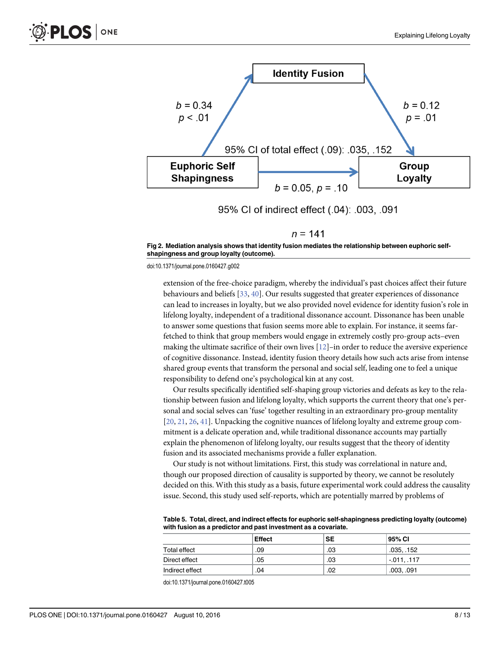<span id="page-7-0"></span>

 $n = 141$ 

[Fig 2. M](#page-5-0)ediation analysis shows that identity fusion mediates the relationship between euphoric selfshapingness and group loyalty (outcome).

doi:10.1371/journal.pone.0160427.g002

extension of the free-choice paradigm, whereby the individual's past choices affect their future behaviours and beliefs [[33](#page-11-0), [40](#page-11-0)]. Our results suggested that greater experiences of dissonance can lead to increases in loyalty, but we also provided novel evidence for identity fusion's role in lifelong loyalty, independent of a traditional dissonance account. Dissonance has been unable to answer some questions that fusion seems more able to explain. For instance, it seems farfetched to think that group members would engage in extremely costly pro-group acts–even making the ultimate sacrifice of their own lives  $[12]$ –in order to reduce the aversive experience of cognitive dissonance. Instead, identity fusion theory details how such acts arise from intense shared group events that transform the personal and social self, leading one to feel a unique responsibility to defend one's psychological kin at any cost.

Our results specifically identified self-shaping group victories and defeats as key to the relationship between fusion and lifelong loyalty, which supports the current theory that one's personal and social selves can 'fuse' together resulting in an extraordinary pro-group mentality [\[20](#page-11-0), [21,](#page-11-0) [26](#page-11-0), [41](#page-11-0)]. Unpacking the cognitive nuances of lifelong loyalty and extreme group commitment is a delicate operation and, while traditional dissonance accounts may partially explain the phenomenon of lifelong loyalty, our results suggest that the theory of identity fusion and its associated mechanisms provide a fuller explanation.

Our study is not without limitations. First, this study was correlational in nature and, though our proposed direction of causality is supported by theory, we cannot be resolutely decided on this. With this study as a basis, future experimental work could address the causality issue. Second, this study used self-reports, which are potentially marred by problems of

[Table 5.](#page-5-0) Total, direct, and indirect effects for euphoric self-shapingness predicting loyalty (outcome) with fusion as a predictor and past investment as a covariate.

|                 | <b>Effect</b> | <b>SE</b> | 95% CI       |
|-----------------|---------------|-----------|--------------|
| Total effect    | .09           | .03       | .035, .152   |
| Direct effect   | .05           | .03       | $-0.011$ 117 |
| Indirect effect | .04           | .02       | .003, .091   |

doi:10.1371/journal.pone.0160427.t005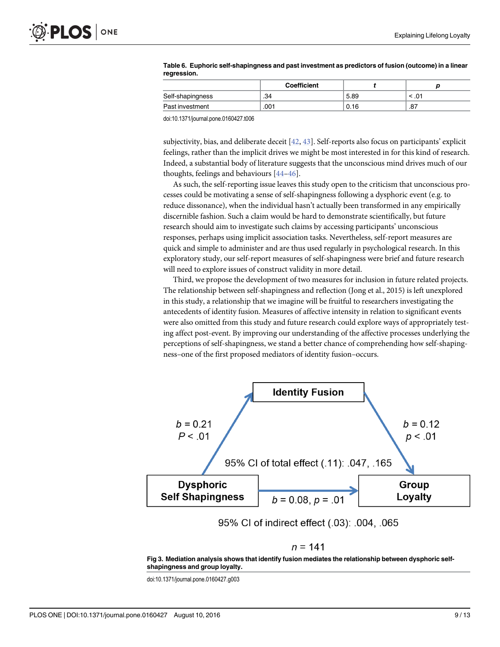|                  | Coefficient |      |          |
|------------------|-------------|------|----------|
| Self-shapingness | .34         | 5.89 | $10^{4}$ |
| Past investment  | .001        | 0.16 | .87      |

#### <span id="page-8-0"></span>[Table 6.](#page-6-0) Euphoric self-shapingness and past investment as predictors of fusion (outcome) in a linear regression.

doi:10.1371/journal.pone.0160427.t006

subjectivity, bias, and deliberate deceit [[42](#page-11-0), [43](#page-11-0)]. Self-reports also focus on participants' explicit feelings, rather than the implicit drives we might be most interested in for this kind of research. Indeed, a substantial body of literature suggests that the unconscious mind drives much of our thoughts, feelings and behaviours [\[44](#page-12-0)–[46](#page-12-0)].

As such, the self-reporting issue leaves this study open to the criticism that unconscious processes could be motivating a sense of self-shapingness following a dysphoric event (e.g. to reduce dissonance), when the individual hasn't actually been transformed in any empirically discernible fashion. Such a claim would be hard to demonstrate scientifically, but future research should aim to investigate such claims by accessing participants' unconscious responses, perhaps using implicit association tasks. Nevertheless, self-report measures are quick and simple to administer and are thus used regularly in psychological research. In this exploratory study, our self-report measures of self-shapingness were brief and future research will need to explore issues of construct validity in more detail.

Third, we propose the development of two measures for inclusion in future related projects. The relationship between self-shapingness and reflection (Jong et al., 2015) is left unexplored in this study, a relationship that we imagine will be fruitful to researchers investigating the antecedents of identity fusion. Measures of affective intensity in relation to significant events were also omitted from this study and future research could explore ways of appropriately testing affect post-event. By improving our understanding of the affective processes underlying the perceptions of self-shapingness, we stand a better chance of comprehending how self-shapingness–one of the first proposed mediators of identity fusion–occurs.



95% CI of indirect effect (.03): .004, .065

#### $n = 141$

[Fig 3. M](#page-6-0)ediation analysis shows that identify fusion mediates the relationship between dysphoric selfshapingness and group loyalty.

doi:10.1371/journal.pone.0160427.g003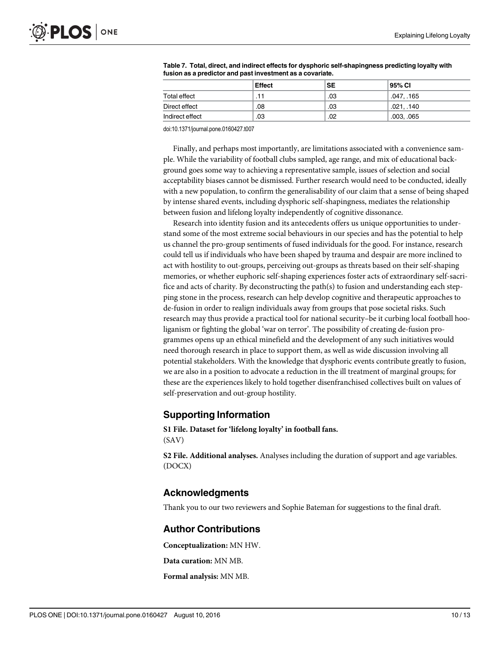|                 | <b>Effect</b> | <b>SE</b> | 95% CI     |
|-----------------|---------------|-----------|------------|
| Total effect    | .11           | .03       | .047, .165 |
| Direct effect   | .08           | .03       | .021. .140 |
| Indirect effect | .03           | .02       | .003, .065 |

<span id="page-9-0"></span>

| Table 7. Total, direct, and indirect effects for dysphoric self-shapingness predicting loyalty with |
|-----------------------------------------------------------------------------------------------------|
| fusion as a predictor and past investment as a covariate.                                           |

doi:10.1371/journal.pone.0160427.t007

Finally, and perhaps most importantly, are limitations associated with a convenience sample. While the variability of football clubs sampled, age range, and mix of educational background goes some way to achieving a representative sample, issues of selection and social acceptability biases cannot be dismissed. Further research would need to be conducted, ideally with a new population, to confirm the generalisability of our claim that a sense of being shaped by intense shared events, including dysphoric self-shapingness, mediates the relationship between fusion and lifelong loyalty independently of cognitive dissonance.

Research into identity fusion and its antecedents offers us unique opportunities to understand some of the most extreme social behaviours in our species and has the potential to help us channel the pro-group sentiments of fused individuals for the good. For instance, research could tell us if individuals who have been shaped by trauma and despair are more inclined to act with hostility to out-groups, perceiving out-groups as threats based on their self-shaping memories, or whether euphoric self-shaping experiences foster acts of extraordinary self-sacrifice and acts of charity. By deconstructing the path(s) to fusion and understanding each stepping stone in the process, research can help develop cognitive and therapeutic approaches to de-fusion in order to realign individuals away from groups that pose societal risks. Such research may thus provide a practical tool for national security–be it curbing local football hooliganism or fighting the global 'war on terror'. The possibility of creating de-fusion programmes opens up an ethical minefield and the development of any such initiatives would need thorough research in place to support them, as well as wide discussion involving all potential stakeholders. With the knowledge that dysphoric events contribute greatly to fusion, we are also in a position to advocate a reduction in the ill treatment of marginal groups; for these are the experiences likely to hold together disenfranchised collectives built on values of self-preservation and out-group hostility.

## Supporting Information

[S1 File.](http://www.plosone.org/article/fetchSingleRepresentation.action?uri=info:doi/10.1371/journal.pone.0160427.s001) Dataset for 'lifelong loyalty' in football fans. (SAV)

[S2 File.](http://www.plosone.org/article/fetchSingleRepresentation.action?uri=info:doi/10.1371/journal.pone.0160427.s002) Additional analyses. Analyses including the duration of support and age variables. (DOCX)

#### Acknowledgments

Thank you to our two reviewers and Sophie Bateman for suggestions to the final draft.

#### Author Contributions

Conceptualization: MN HW.

Data curation: MN MB.

Formal analysis: MN MB.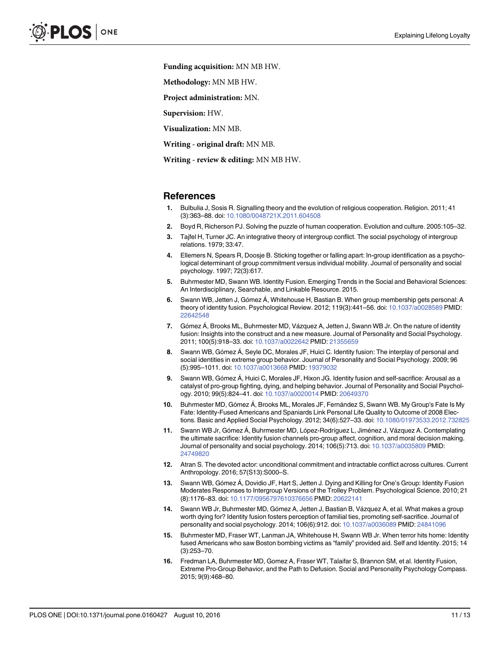<span id="page-10-0"></span>Funding acquisition: MN MB HW.

Methodology: MN MB HW.

Project administration: MN.

Supervision: HW.

Visualization: MN MB.

Writing - original draft: MN MB.

Writing - review & editing: MN MB HW.

#### References

- [1.](#page-0-0) Bulbulia J, Sosis R. Signalling theory and the evolution of religious cooperation. Religion. 2011; 41 (3):363–88. doi: [10.1080/0048721X.2011.604508](http://dx.doi.org/10.1080/0048721X.2011.604508)
- [2.](#page-0-0) Boyd R, Richerson PJ. Solving the puzzle of human cooperation. Evolution and culture. 2005:105–32.
- [3.](#page-0-0) Tajfel H, Turner JC. An integrative theory of intergroup conflict. The social psychology of intergroup relations. 1979; 33:47.
- [4.](#page-1-0) Ellemers N, Spears R, Doosje B. Sticking together or falling apart: In-group identification as a psychological determinant of group commitment versus individual mobility. Journal of personality and social psychology. 1997; 72(3):617.
- [5.](#page-1-0) Buhrmester MD, Swann WB. Identity Fusion. Emerging Trends in the Social and Behavioral Sciences: An Interdisciplinary, Searchable, and Linkable Resource. 2015.
- [6.](#page-1-0) Swann WB, Jetten J, Gómez Á, Whitehouse H, Bastian B. When group membership gets personal: A theory of identity fusion. Psychological Review. 2012; 119(3):441–56. doi: [10.1037/a0028589](http://dx.doi.org/10.1037/a0028589) PMID: [22642548](http://www.ncbi.nlm.nih.gov/pubmed/22642548)
- [7.](#page-1-0) Gómez Á, Brooks ML, Buhrmester MD, Vázquez A, Jetten J, Swann WB Jr. On the nature of identity fusion: Insights into the construct and a new measure. Journal of Personality and Social Psychology. 2011; 100(5):918–33. doi: [10.1037/a0022642](http://dx.doi.org/10.1037/a0022642) PMID: [21355659](http://www.ncbi.nlm.nih.gov/pubmed/21355659)
- [8.](#page-1-0) Swann WB, Gómez A, Seyle DC, Morales JF, Huici C. Identity fusion: The interplay of personal and social identities in extreme group behavior. Journal of Personality and Social Psychology. 2009; 96 (5):995–1011. doi: [10.1037/a0013668](http://dx.doi.org/10.1037/a0013668) PMID: [19379032](http://www.ncbi.nlm.nih.gov/pubmed/19379032)
- [9.](#page-1-0) Swann WB, Gómez Á, Huici C, Morales JF, Hixon JG. Identity fusion and self-sacrifice: Arousal as a catalyst of pro-group fighting, dying, and helping behavior. Journal of Personality and Social Psychology. 2010; 99(5):824–41. doi: [10.1037/a0020014](http://dx.doi.org/10.1037/a0020014) PMID: [20649370](http://www.ncbi.nlm.nih.gov/pubmed/20649370)
- [10.](#page-1-0) Buhrmester MD, Gómez Á, Brooks ML, Morales JF, Fernández S, Swann WB. My Group's Fate Is My Fate: Identity-Fused Americans and Spaniards Link Personal Life Quality to Outcome of 2008 Elections. Basic and Applied Social Psychology. 2012; 34(6):527–33. doi: [10.1080/01973533.2012.732825](http://dx.doi.org/10.1080/01973533.2012.732825)
- [11.](#page-1-0) Swann WB Jr, Gómez Á, Buhrmester MD, López-Rodríguez L, Jiménez J, Vázquez A. Contemplating the ultimate sacrifice: Identity fusion channels pro-group affect, cognition, and moral decision making. Journal of personality and social psychology. 2014; 106(5):713. doi: [10.1037/a0035809](http://dx.doi.org/10.1037/a0035809) PMID: [24749820](http://www.ncbi.nlm.nih.gov/pubmed/24749820)
- [12.](#page-1-0) Atran S. The devoted actor: unconditional commitment and intractable conflict across cultures. Current Anthropology. 2016; 57(S13):S000–S.
- [13.](#page-1-0) Swann WB, Gómez Á, Dovidio JF, Hart S, Jetten J. Dying and Killing for One's Group: Identity Fusion Moderates Responses to Intergroup Versions of the Trolley Problem. Psychological Science. 2010; 21 (8):1176–83. doi: [10.1177/0956797610376656](http://dx.doi.org/10.1177/0956797610376656) PMID: [20622141](http://www.ncbi.nlm.nih.gov/pubmed/20622141)
- [14.](#page-1-0) Swann WB Jr, Buhrmester MD, Gómez A, Jetten J, Bastian B, Vázquez A, et al. What makes a group worth dying for? Identity fusion fosters perception of familial ties, promoting self-sacrifice. Journal of personality and social psychology. 2014; 106(6):912. doi: [10.1037/a0036089](http://dx.doi.org/10.1037/a0036089) PMID: [24841096](http://www.ncbi.nlm.nih.gov/pubmed/24841096)
- [15.](#page-1-0) Buhrmester MD, Fraser WT, Lanman JA, Whitehouse H, Swann WB Jr. When terror hits home: Identity fused Americans who saw Boston bombing victims as "family" provided aid. Self and Identity. 2015; 14 (3):253–70.
- [16.](#page-1-0) Fredman LA, Buhrmester MD, Gomez A, Fraser WT, Talaifar S, Brannon SM, et al. Identity Fusion, Extreme Pro‐Group Behavior, and the Path to Defusion. Social and Personality Psychology Compass. 2015; 9(9):468–80.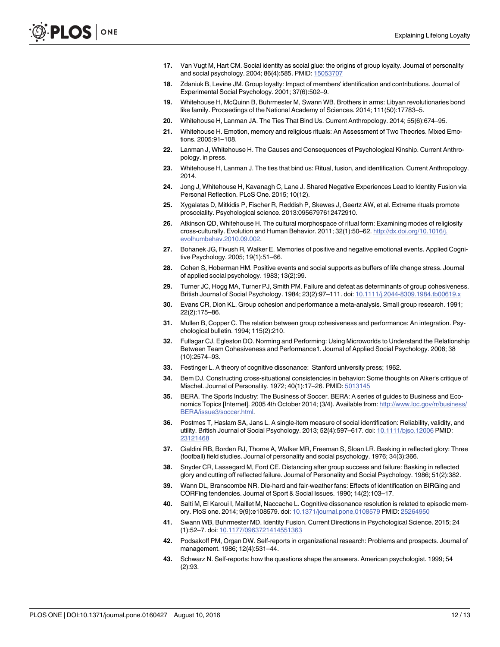- <span id="page-11-0"></span>[17.](#page-1-0) Van Vugt M, Hart CM. Social identity as social glue: the origins of group loyalty. Journal of personality and social psychology. 2004; 86(4):585. PMID: [15053707](http://www.ncbi.nlm.nih.gov/pubmed/15053707)
- [18.](#page-1-0) Zdaniuk B, Levine JM. Group loyalty: Impact of members' identification and contributions. Journal of Experimental Social Psychology. 2001; 37(6):502–9.
- [19.](#page-1-0) Whitehouse H, McQuinn B, Buhrmester M, Swann WB. Brothers in arms: Libyan revolutionaries bond like family. Proceedings of the National Academy of Sciences. 2014; 111(50):17783–5.
- [20.](#page-1-0) Whitehouse H, Lanman JA. The Ties That Bind Us. Current Anthropology. 2014; 55(6):674–95.
- [21.](#page-1-0) Whitehouse H. Emotion, memory and religious rituals: An Assessment of Two Theories. Mixed Emotions. 2005:91–108.
- [22.](#page-1-0) Lanman J, Whitehouse H. The Causes and Consequences of Psychological Kinship. Current Anthropology. in press.
- [23.](#page-1-0) Whitehouse H, Lanman J. The ties that bind us: Ritual, fusion, and identification. Current Anthropology. 2014.
- [24.](#page-1-0) Jong J, Whitehouse H, Kavanagh C, Lane J. Shared Negative Experiences Lead to Identity Fusion via Personal Reflection. PLoS One. 2015; 10(12).
- [25.](#page-1-0) Xygalatas D, Mitkidis P, Fischer R, Reddish P, Skewes J, Geertz AW, et al. Extreme rituals promote prosociality. Psychological science. 2013:0956797612472910.
- [26.](#page-2-0) Atkinson QD, Whitehouse H. The cultural morphospace of ritual form: Examining modes of religiosity cross-culturally. Evolution and Human Behavior. 2011; 32(1):50–62. [http://dx.doi.org/10.1016/j.](http://dx.doi.org/10.1016/j.evolhumbehav.2010.09.002) [evolhumbehav.2010.09.002.](http://dx.doi.org/10.1016/j.evolhumbehav.2010.09.002)
- [27.](#page-2-0) Bohanek JG, Fivush R, Walker E. Memories of positive and negative emotional events. Applied Cognitive Psychology. 2005; 19(1):51–66.
- [28.](#page-2-0) Cohen S, Hoberman HM. Positive events and social supports as buffers of life change stress. Journal of applied social psychology. 1983; 13(2):99.
- [29.](#page-2-0) Turner JC, Hogg MA, Turner PJ, Smith PM. Failure and defeat as determinants of group cohesiveness. British Journal of Social Psychology. 1984; 23(2):97–111. doi: [10.1111/j.2044-8309.1984.tb00619.x](http://dx.doi.org/10.1111/j.2044-8309.1984.tb00619.x)
- [30.](#page-2-0) Evans CR, Dion KL. Group cohesion and performance a meta-analysis. Small group research. 1991; 22(2):175–86.
- [31.](#page-2-0) Mullen B, Copper C. The relation between group cohesiveness and performance: An integration. Psychological bulletin. 1994; 115(2):210.
- [32.](#page-2-0) Fullagar CJ, Egleston DO. Norming and Performing: Using Microworlds to Understand the Relationship Between Team Cohesiveness and Performance1. Journal of Applied Social Psychology. 2008; 38 (10):2574–93.
- [33.](#page-2-0) Festinger L. A theory of cognitive dissonance: Stanford university press; 1962.
- [34.](#page-2-0) Bem DJ. Constructing cross-situational consistencies in behavior: Some thoughts on Alker's critique of Mischel. Journal of Personality. 1972; 40(1):17–26. PMID: [5013145](http://www.ncbi.nlm.nih.gov/pubmed/5013145)
- [35.](#page-2-0) BERA. The Sports Industry: The Business of Soccer. BERA: A series of guides to Business and Economics Topics [Internet]. 2005 4th October 2014; (3/4). Available from: [http://www.loc.gov/rr/business/](http://www.loc.gov/rr/business/BERA/issue3/soccer.html) [BERA/issue3/soccer.html](http://www.loc.gov/rr/business/BERA/issue3/soccer.html).
- [36.](#page-3-0) Postmes T, Haslam SA, Jans L. A single-item measure of social identification: Reliability, validity, and utility. British Journal of Social Psychology. 2013; 52(4):597–617. doi: [10.1111/bjso.12006](http://dx.doi.org/10.1111/bjso.12006) PMID: [23121468](http://www.ncbi.nlm.nih.gov/pubmed/23121468)
- [37.](#page-6-0) Cialdini RB, Borden RJ, Thorne A, Walker MR, Freeman S, Sloan LR. Basking in reflected glory: Three (football) field studies. Journal of personality and social psychology. 1976; 34(3):366.
- 38. Snyder CR, Lassegard M, Ford CE. Distancing after group success and failure: Basking in reflected glory and cutting off reflected failure. Journal of Personality and Social Psychology. 1986; 51(2):382.
- [39.](#page-6-0) Wann DL, Branscombe NR. Die-hard and fair-weather fans: Effects of identification on BIRGing and CORFing tendencies. Journal of Sport & Social Issues. 1990; 14(2):103–17.
- [40.](#page-7-0) Salti M, El Karoui I, Maillet M, Naccache L. Cognitive dissonance resolution is related to episodic memory. PloS one. 2014; 9(9):e108579. doi: [10.1371/journal.pone.0108579](http://dx.doi.org/10.1371/journal.pone.0108579) PMID: [25264950](http://www.ncbi.nlm.nih.gov/pubmed/25264950)
- [41.](#page-7-0) Swann WB, Buhrmester MD. Identity Fusion. Current Directions in Psychological Science. 2015; 24 (1):52–7. doi: [10.1177/0963721414551363](http://dx.doi.org/10.1177/0963721414551363)
- [42.](#page-8-0) Podsakoff PM, Organ DW. Self-reports in organizational research: Problems and prospects. Journal of management. 1986; 12(4):531–44.
- [43.](#page-8-0) Schwarz N. Self-reports: how the questions shape the answers. American psychologist. 1999; 54 (2):93.